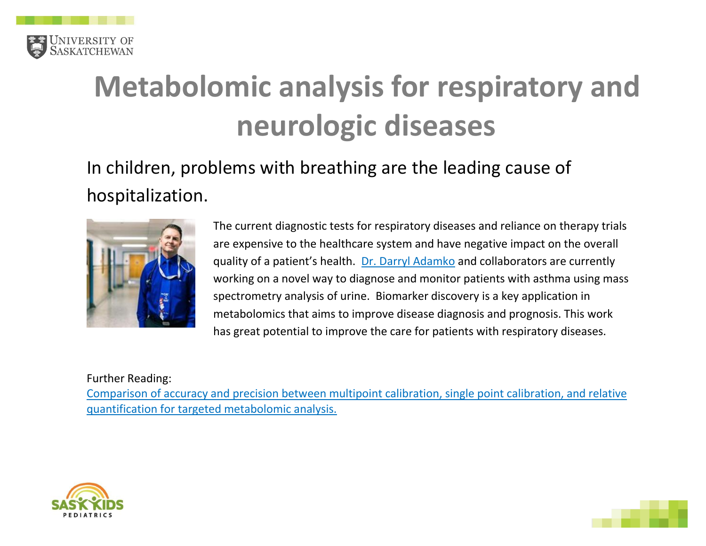

# **Metabolomic analysis for respiratory and neurologic diseases**

### In children, problems with breathing are the leading cause of hospitalization.



The current diagnostic tests for respiratory diseases and reliance on therapy trials are expensive to the healthcare system and have negative impact on the overall quality of a patient's health. [Dr. Darryl Adamko](https://medicine.usask.ca/profiles/pediatric-divisions/respirology/darryl-adamko.php) and collaborators are currently working on a novel way to diagnose and monitor patients with asthma using mass spectrometry analysis of urine. Biomarker discovery is a key application in metabolomics that aims to improve disease diagnosis and prognosis. This work has great potential to improve the care for patients with respiratory diseases.

Further Reading:

[Comparison of accuracy and precision between multipoint calibration, single point calibration, and relative](https://www.ncbi.nlm.nih.gov/pubmed/30006724)  [quantification for targeted metabolomic analysis.](https://www.ncbi.nlm.nih.gov/pubmed/30006724)



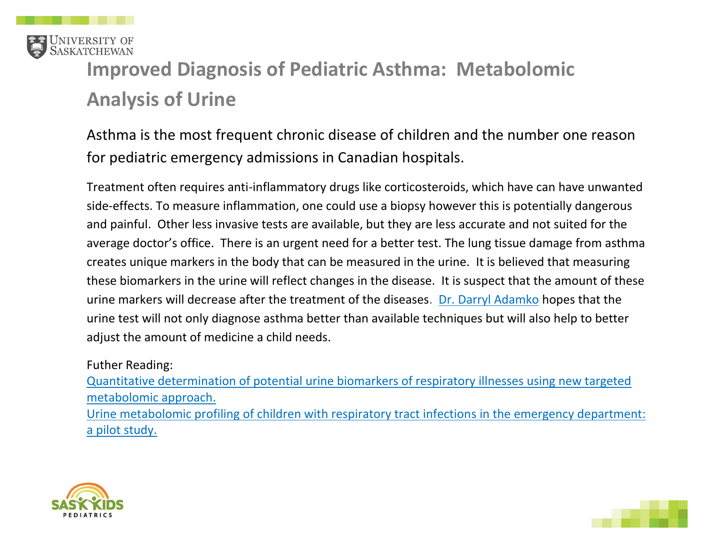

# **Improved Diagnosis of Pediatric Asthma: Metabolomic Analysis of Urine**

Asthma is the most frequent chronic disease of children and the number one reason for pediatric emergency admissions in Canadian hospitals.

Treatment often requires anti-inflammatory drugs like corticosteroids, which have can have unwanted side-effects. To measure inflammation, one could use a biopsy however this is potentially dangerous and painful. Other less invasive tests are available, but they are less accurate and not suited for the average doctor's office. There is an urgent need for a better test. The lung tissue damage from asthma creates unique markers in the body that can be measured in the urine. It is believed that measuring these biomarkers in the urine will reflect changes in the disease. It is suspect that the amount of these urine markers will decrease after the treatment of the diseases. [Dr. Darryl Adamko](https://medicine.usask.ca/profiles/pediatric-divisions/respirology/darryl-adamko.php) hopes that the urine test will not only diagnose asthma better than available techniques but will also help to better adjust the amount of medicine a child needs.

Futher Reading:

[Quantitative determination of potential urine biomarkers of respiratory illnesses using new targeted](https://www.ncbi.nlm.nih.gov/pubmed/30567667)  [metabolomic approach.](https://www.ncbi.nlm.nih.gov/pubmed/30567667) [Urine metabolomic profiling of children with respiratory tract infections in the emergency department:](https://www.ncbi.nlm.nih.gov/pubmed/27549246)  [a pilot study.](https://www.ncbi.nlm.nih.gov/pubmed/27549246)